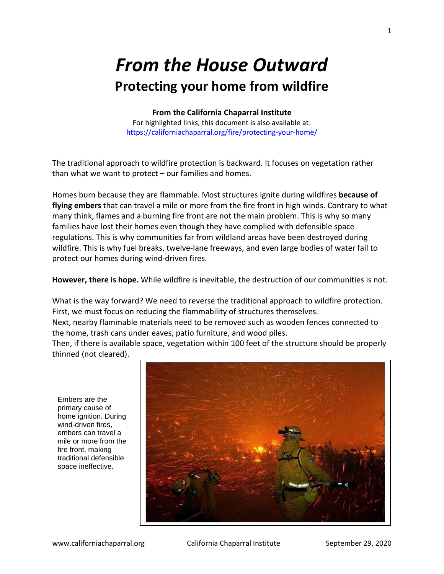# *From the House Outward* **Protecting your home from wildfire**

#### **From the California Chaparral Institute**

For highlighted links, this document is also available at: <https://californiachaparral.org/fire/protecting-your-home/>

The traditional approach to wildfire protection is backward. It focuses on vegetation rather than what we want to protect – our families and homes.

Homes burn because they are flammable. Most structures ignite during wildfires **because of flying embers** that can travel a mile or more from the fire front in high winds. Contrary to what many think, flames and a burning fire front are not the main problem. This is why so many families have lost their homes even though they have complied with defensible space regulations. This is why communities far from wildland areas have been destroyed during wildfire. This is why fuel breaks, twelve-lane freeways, and even large bodies of water fail to protect our homes during wind-driven fires.

**However, there is hope.** While wildfire is inevitable, the destruction of our communities is not.

What is the way forward? We need to reverse the traditional approach to wildfire protection. First, we must focus on reducing the flammability of structures themselves.

Next, nearby flammable materials need to be removed such as wooden fences connected to the home, trash cans under eaves, patio furniture, and wood piles.

Then, if there is available space, vegetation within 100 feet of the structure should be properly thinned (not cleared).

Embers are the primary cause of home ignition. During wind-driven fires, embers can travel a mile or more from the fire front, making traditional defensible space ineffective.

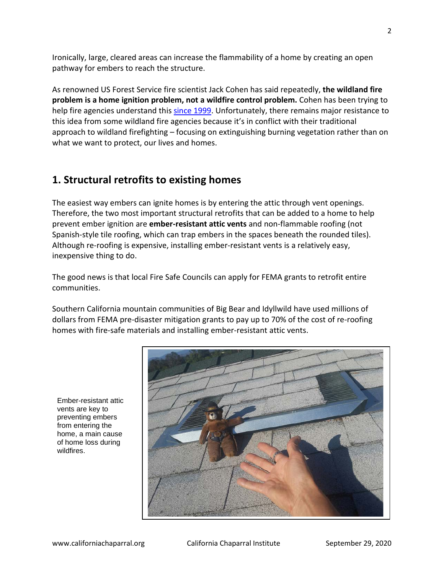Ironically, large, cleared areas can increase the flammability of a home by creating an open pathway for embers to reach the structure.

As renowned US Forest Service fire scientist Jack Cohen has said repeatedly, **the wildland fire problem is a home ignition problem, not a wildfire control problem.** Cohen has been trying to help fire agencies understand this [since 1999.](https://rest.edit.site/filestorage-api-service/56b9d0e348ad34b8ddde776b0f38536c/cohen-key-points-1999.pdf?dl=1) Unfortunately, there remains major resistance to this idea from some wildland fire agencies because it's in conflict with their traditional approach to wildland firefighting – focusing on extinguishing burning vegetation rather than on what we want to protect, our lives and homes.

# **1. Structural retrofits to existing homes**

The easiest way embers can ignite homes is by entering the attic through vent openings. Therefore, the two most important structural retrofits that can be added to a home to help prevent ember ignition are **ember-resistant attic vents** and non-flammable roofing (not Spanish-style tile roofing, which can trap embers in the spaces beneath the rounded tiles). Although re-roofing is expensive, installing ember-resistant vents is a relatively easy, inexpensive thing to do.

The good news is that local Fire Safe Councils can apply for FEMA grants to retrofit entire communities.

Southern California mountain communities of Big Bear and Idyllwild have used millions of dollars from FEMA pre-disaster mitigation grants to pay up to 70% of the cost of re-roofing homes with fire-safe materials and installing ember-resistant attic vents.

Ember-resistant attic vents are key to preventing embers from entering the home, a main cause of home loss during wildfires.

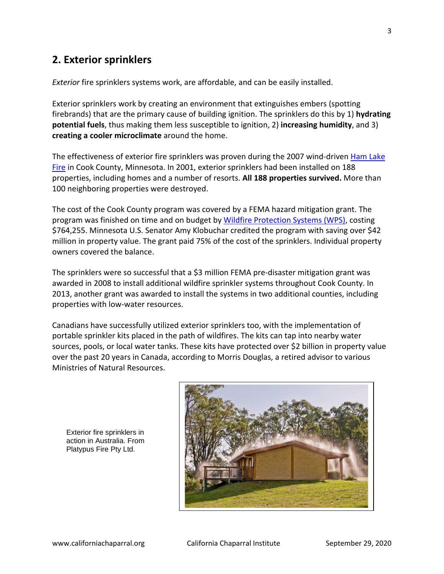# **2. Exterior sprinklers**

*Exterior* fire sprinklers systems work, are affordable, and can be easily installed.

Exterior sprinklers work by creating an environment that extinguishes embers (spotting firebrands) that are the primary cause of building ignition. The sprinklers do this by 1) **hydrating potential fuels**, thus making them less susceptible to ignition, 2) **increasing humidity**, and 3) **creating a cooler microclimate** around the home.

The effectiveness of exterior fire sprinklers was proven during the 2007 wind-driven [Ham Lake](https://rest.edit.site/filestorage-api-service/86a468c53ce256589924ee64036c12ad/hamlake-07-_22_08.pdf?dl=1)  [Fire](https://rest.edit.site/filestorage-api-service/86a468c53ce256589924ee64036c12ad/hamlake-07-_22_08.pdf?dl=1) in Cook County, Minnesota. In 2001, exterior sprinklers had been installed on 188 properties, including homes and a number of resorts. **All 188 properties survived.** More than 100 neighboring properties were destroyed.

The cost of the Cook County program was covered by a FEMA hazard mitigation grant. The program was finished on time and on budget by [Wildfire Protection Systems \(WPS\),](https://wildfiresprinkler.com/) costing \$764,255. Minnesota U.S. Senator Amy Klobuchar credited the program with saving over \$42 million in property value. The grant paid 75% of the cost of the sprinklers. Individual property owners covered the balance.

The sprinklers were so successful that a \$3 million FEMA pre-disaster mitigation grant was awarded in 2008 to install additional wildfire sprinkler systems throughout Cook County. In 2013, another grant was awarded to install the systems in two additional counties, including properties with low-water resources.

Canadians have successfully utilized exterior sprinklers too, with the implementation of portable sprinkler kits placed in the path of wildfires. The kits can tap into nearby water sources, pools, or local water tanks. These kits have protected over \$2 billion in property value over the past 20 years in Canada, according to Morris Douglas, a retired advisor to various Ministries of Natural Resources.

Exterior fire sprinklers in action in Australia. From Platypus Fire Pty Ltd.

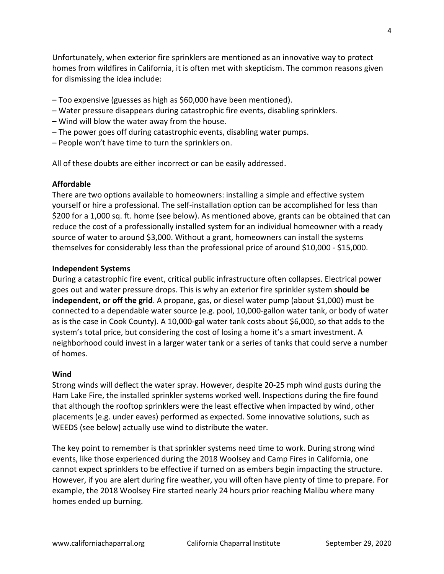Unfortunately, when exterior fire sprinklers are mentioned as an innovative way to protect homes from wildfires in California, it is often met with skepticism. The common reasons given for dismissing the idea include:

- Too expensive (guesses as high as \$60,000 have been mentioned).
- Water pressure disappears during catastrophic fire events, disabling sprinklers.
- Wind will blow the water away from the house.
- The power goes off during catastrophic events, disabling water pumps.
- People won't have time to turn the sprinklers on.

All of these doubts are either incorrect or can be easily addressed.

### **Affordable**

There are two options available to homeowners: installing a simple and effective system yourself or hire a professional. The self-installation option can be accomplished for less than \$200 for a 1,000 sq. ft. home (see below). As mentioned above, grants can be obtained that can reduce the cost of a professionally installed system for an individual homeowner with a ready source of water to around \$3,000. Without a grant, homeowners can install the systems themselves for considerably less than the professional price of around \$10,000 - \$15,000.

#### **Independent Systems**

During a catastrophic fire event, critical public infrastructure often collapses. Electrical power goes out and water pressure drops. This is why an exterior fire sprinkler system **should be independent, or off the grid**. A propane, gas, or diesel water pump (about \$1,000) must be connected to a dependable water source (e.g. pool, 10,000-gallon water tank, or body of water as is the case in Cook County). A 10,000-gal water tank costs about \$6,000, so that adds to the system's total price, but considering the cost of losing a home it's a smart investment. A neighborhood could invest in a larger water tank or a series of tanks that could serve a number of homes.

#### **Wind**

Strong winds will deflect the water spray. However, despite 20-25 mph wind gusts during the Ham Lake Fire, the installed sprinkler systems worked well. Inspections during the fire found that although the rooftop sprinklers were the least effective when impacted by wind, other placements (e.g. under eaves) performed as expected. Some innovative solutions, such as WEEDS (see below) actually use wind to distribute the water.

The key point to remember is that sprinkler systems need time to work. During strong wind events, like those experienced during the 2018 Woolsey and Camp Fires in California, one cannot expect sprinklers to be effective if turned on as embers begin impacting the structure. However, if you are alert during fire weather, you will often have plenty of time to prepare. For example, the 2018 Woolsey Fire started nearly 24 hours prior reaching Malibu where many homes ended up burning.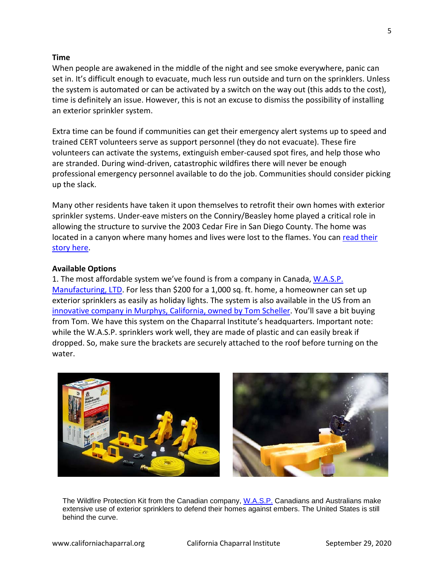#### **Time**

When people are awakened in the middle of the night and see smoke everywhere, panic can set in. It's difficult enough to evacuate, much less run outside and turn on the sprinklers. Unless the system is automated or can be activated by a switch on the way out (this adds to the cost), time is definitely an issue. However, this is not an excuse to dismiss the possibility of installing an exterior sprinkler system.

Extra time can be found if communities can get their emergency alert systems up to speed and trained CERT volunteers serve as support personnel (they do not evacuate). These fire volunteers can activate the systems, extinguish ember-caused spot fires, and help those who are stranded. During wind-driven, catastrophic wildfires there will never be enough professional emergency personnel available to do the job. Communities should consider picking up the slack.

Many other residents have taken it upon themselves to retrofit their own homes with exterior sprinkler systems. Under-eave misters on the Conniry/Beasley home played a critical role in allowing the structure to survive the 2003 Cedar Fire in San Diego County. The home was located in a canyon where many homes and lives were lost to the flames. You can [read their](https://rest.edit.site/filestorage-api-service/f465c56b7d1e9cb8e60877f4c49c7ea4/conniry-story-b.pdf?dl=1)  [story here.](https://rest.edit.site/filestorage-api-service/f465c56b7d1e9cb8e60877f4c49c7ea4/conniry-story-b.pdf?dl=1)

#### **Available Options**

1. The most affordable system we've found is from a company in Canada, [W.A.S.P.](https://shop.waspwildfire.ca/) [Manufacturing, LTD.](https://shop.waspwildfire.ca/) For less than \$200 for a 1,000 sq. ft. home, a homeowner can set up exterior sprinklers as easily as holiday lights. The system is also available in the US from an [innovative company in Murphys, California, owned by Tom Scheller.](http://thepinetree.net/new/?p=103805) You'll save a bit buying from Tom. We have this system on the Chaparral Institute's headquarters. Important note: while the W.A.S.P. sprinklers work well, they are made of plastic and can easily break if dropped. So, make sure the brackets are securely attached to the roof before turning on the water.



The Wildfire Protection Kit from the Canadian company, [W.A.S.P.](https://shop.waspwildfire.ca/) Canadians and Australians make extensive use of exterior sprinklers to defend their homes against embers. The United States is still behind the curve.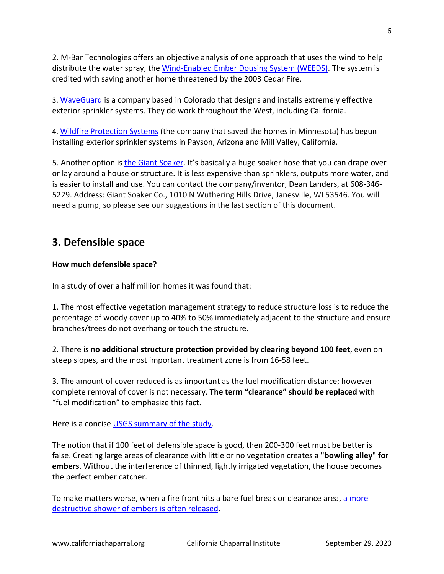2. M-Bar Technologies offers an objective analysis of one approach that uses the wind to help distribute the water spray, the [Wind-Enabled Ember Dousing System \(WEEDS\).](http://www.mbartek.com/weeds-info) The system is credited with saving another home threatened by the 2003 Cedar Fire.

3. [WaveGuard](https://waveguardco.com/) is a company based in Colorado that designs and installs extremely effective exterior sprinkler systems. They do work throughout the West, including California.

4. [Wildfire Protection Systems](https://wildfiresprinkler.com/) (the company that saved the homes in Minnesota) has begun installing exterior sprinkler systems in Payson, Arizona and Mill Valley, California.

5. Another option is [the Giant Soaker.](http://www.nationalfirefighter.com/go-soak-it-fire-buster-sprinkler-hose-system.aspx) It's basically a huge soaker hose that you can drape over or lay around a house or structure. It is less expensive than sprinklers, outputs more water, and is easier to install and use. You can contact the company/inventor, Dean Landers, at 608-346- 5229. Address: Giant Soaker Co., 1010 N Wuthering Hills Drive, Janesville, WI 53546. You will need a pump, so please see our suggestions in the last section of this document.

# **3. Defensible space**

### **How much defensible space?**

In a study of over a half million homes it was found that:

1. The most effective vegetation management strategy to reduce structure loss is to reduce the percentage of woody cover up to 40% to 50% immediately adjacent to the structure and ensure branches/trees do not overhang or touch the structure.

2. There is **no additional structure protection provided by clearing beyond 100 feet**, even on steep slopes, and the most important treatment zone is from 16-58 feet.

3. The amount of cover reduced is as important as the fuel modification distance; however complete removal of cover is not necessary. **The term "clearance" should be replaced** with "fuel modification" to emphasize this fact.

Here is a concise [USGS summary of the study.](https://californiachaparral.org/__static/4cf0f510a87255e68748ab1953d5a833/syphard_et_al_defensiblespace.pdf?dl=1)

The notion that if 100 feet of defensible space is good, then 200-300 feet must be better is false. Creating large areas of clearance with little or no vegetation creates a **"bowling alley" for embers**. Without the interference of thinned, lightly irrigated vegetation, the house becomes the perfect ember catcher.

To make matters worse, when a fire front hits a bare fuel break or clearance area, a more [destructive shower of embers is](https://californiachaparral.org/__static/ff8f043339ec4992d88cfa5057ef9d40/koo_et_al_embers_modelling_transport_embers_2012.pdf?dl=1) often released.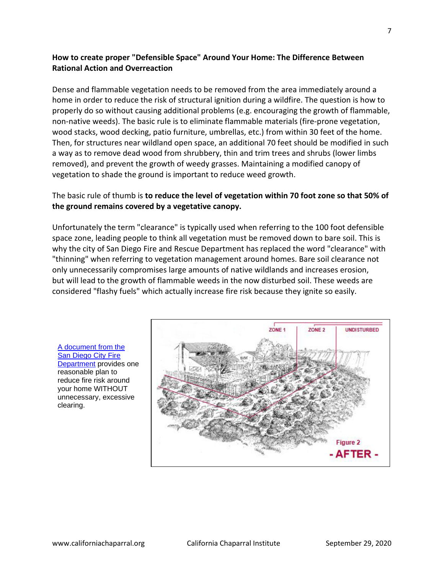### **How to create proper "Defensible Space" Around Your Home: The Difference Between Rational Action and Overreaction**

Dense and flammable vegetation needs to be removed from the area immediately around a home in order to reduce the risk of structural ignition during a wildfire. The question is how to properly do so without causing additional problems (e.g. encouraging the growth of flammable, non-native weeds). The basic rule is to eliminate flammable materials (fire-prone vegetation, wood stacks, wood decking, patio furniture, umbrellas, etc.) from within 30 feet of the home. Then, for structures near wildland open space, an additional 70 feet should be modified in such a way as to remove dead wood from shrubbery, thin and trim trees and shrubs (lower limbs removed), and prevent the growth of weedy grasses. Maintaining a modified canopy of vegetation to shade the ground is important to reduce weed growth.

### The basic rule of thumb is **to reduce the level of vegetation within 70 foot zone so that 50% of the ground remains covered by a vegetative canopy.**

Unfortunately the term "clearance" is typically used when referring to the 100 foot defensible space zone, leading people to think all vegetation must be removed down to bare soil. This is why the city of San Diego Fire and Rescue Department has replaced the word "clearance" with "thinning" when referring to vegetation management around homes. Bare soil clearance not only unnecessarily compromises large amounts of native wildlands and increases erosion, but will lead to the growth of flammable weeds in the now disturbed soil. These weeds are considered "flashy fuels" which actually increase fire risk because they ignite so easily.

[A document from the](https://californiachaparral.org/__static/88e815a2ad6da3133c017ec9e83da39c/vegetation_management_citysandiego_2004.pdf?dl=1)  [San Diego City Fire](https://californiachaparral.org/__static/88e815a2ad6da3133c017ec9e83da39c/vegetation_management_citysandiego_2004.pdf?dl=1)  [Department](https://californiachaparral.org/__static/88e815a2ad6da3133c017ec9e83da39c/vegetation_management_citysandiego_2004.pdf?dl=1) provides one reasonable plan to reduce fire risk around your home WITHOUT unnecessary, excessive clearing.

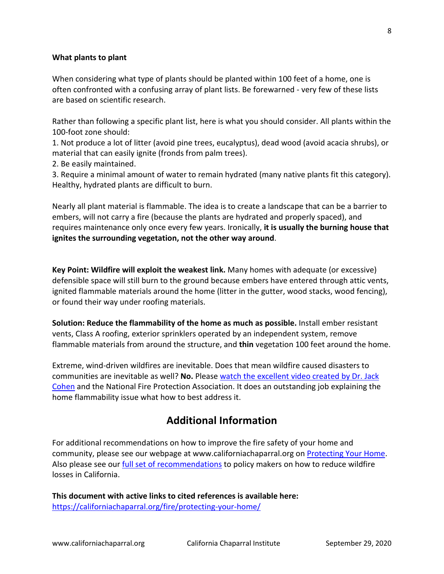#### **What plants to plant**

When considering what type of plants should be planted within 100 feet of a home, one is often confronted with a confusing array of plant lists. Be forewarned - very few of these lists are based on scientific research.

Rather than following a specific plant list, here is what you should consider. All plants within the 100-foot zone should:

1. Not produce a lot of litter (avoid pine trees, eucalyptus), dead wood (avoid acacia shrubs), or material that can easily ignite (fronds from palm trees).

2. Be easily maintained.

3. Require a minimal amount of water to remain hydrated (many native plants fit this category). Healthy, hydrated plants are difficult to burn.

Nearly all plant material is flammable. The idea is to create a landscape that can be a barrier to embers, will not carry a fire (because the plants are hydrated and properly spaced), and requires maintenance only once every few years. Ironically, **it is usually the burning house that ignites the surrounding vegetation, not the other way around**.

**Key Point: Wildfire will exploit the weakest link.** Many homes with adequate (or excessive) defensible space will still burn to the ground because embers have entered through attic vents, ignited flammable materials around the home (litter in the gutter, wood stacks, wood fencing), or found their way under roofing materials.

**Solution: Reduce the flammability of the home as much as possible.** Install ember resistant vents, Class A roofing, exterior sprinklers operated by an independent system, remove flammable materials from around the structure, and **thin** vegetation 100 feet around the home.

Extreme, wind-driven wildfires are inevitable. Does that mean wildfire caused disasters to communities are inevitable as well? **No.** Please [watch the excellent video created by Dr. Jack](https://youtu.be/vL_syp1ZScM)  [Cohen](https://youtu.be/vL_syp1ZScM) and the National Fire Protection Association. It does an outstanding job explaining the home flammability issue what how to best address it.

# **Additional Information**

For additional recommendations on how to improve the fire safety of your home and community, please see our webpage at www.californiachaparral.org on [Protecting Your Home.](https://californiachaparral.org/fire/protecting-your-home/) Also please see our [full set of recommendations](https://californiachaparral.org/__static/2c05f8df51c4f24ad393a26ef5026697/letter-gov_newsom_wildfires_2019.pdf?dl=1) to policy makers on how to reduce wildfire losses in California.

**This document with active links to cited references is available here:** <https://californiachaparral.org/fire/protecting-your-home/>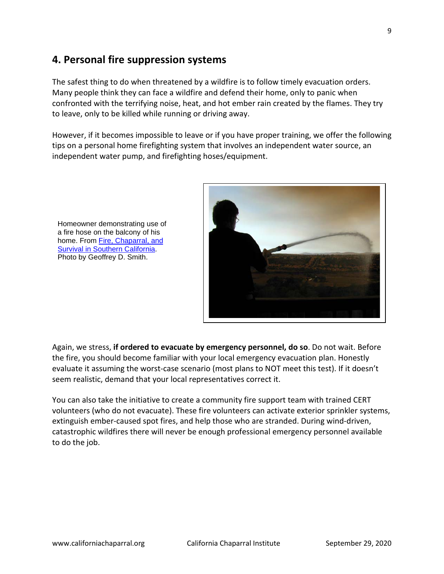# **4. Personal fire suppression systems**

The safest thing to do when threatened by a wildfire is to follow timely evacuation orders. Many people think they can face a wildfire and defend their home, only to panic when confronted with the terrifying noise, heat, and hot ember rain created by the flames. They try to leave, only to be killed while running or driving away.

However, if it becomes impossible to leave or if you have proper training, we offer the following tips on a personal home firefighting system that involves an independent water source, an independent water pump, and firefighting hoses/equipment.



Homeowner demonstrating use of a fire hose on the balcony of his home. From [Fire, Chaparral, and](https://californiachaparral.org/book-excerpts/)  [Survival in Southern California.](https://californiachaparral.org/book-excerpts/) Photo by Geoffrey D. Smith.

Again, we stress, **if ordered to evacuate by emergency personnel, do so**. Do not wait. Before the fire, you should become familiar with your local emergency evacuation plan. Honestly evaluate it assuming the worst-case scenario (most plans to NOT meet this test). If it doesn't seem realistic, demand that your local representatives correct it.

You can also take the initiative to create a community fire support team with trained CERT volunteers (who do not evacuate). These fire volunteers can activate exterior sprinkler systems, extinguish ember-caused spot fires, and help those who are stranded. During wind-driven, catastrophic wildfires there will never be enough professional emergency personnel available to do the job.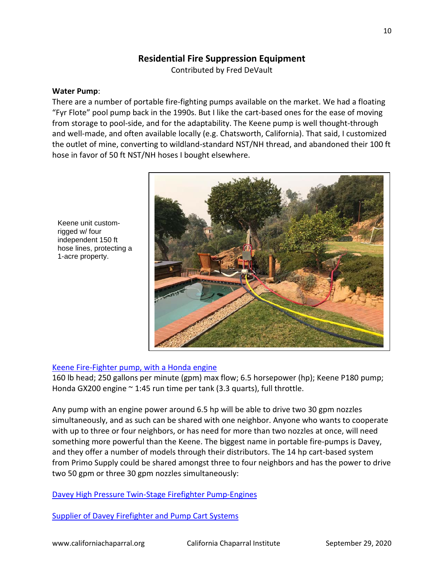## **Residential Fire Suppression Equipment**

Contributed by Fred DeVault

### **Water Pump**:

There are a number of portable fire-fighting pumps available on the market. We had a floating "Fyr Flote" pool pump back in the 1990s. But I like the cart-based ones for the ease of moving from storage to pool-side, and for the adaptability. The Keene pump is well thought-through and well-made, and often available locally (e.g. Chatsworth, California). That said, I customized the outlet of mine, converting to wildland-standard NST/NH thread, and abandoned their 100 ft hose in favor of 50 ft NST/NH hoses I bought elsewhere.

Keene unit customrigged w/ four independent 150 ft hose lines, protecting a 1-acre property.



### [Keene Fire-Fighter pump, with a Honda engine](http://www.keeneeng.com/mm5/merchant.mvc?Screen=PROD&Product_Code=FF65H)

160 lb head; 250 gallons per minute (gpm) max flow; 6.5 horsepower (hp); Keene P180 pump; Honda GX200 engine ~ 1:45 run time per tank (3.3 quarts), full throttle.

Any pump with an engine power around 6.5 hp will be able to drive two 30 gpm nozzles simultaneously, and as such can be shared with one neighbor. Anyone who wants to cooperate with up to three or four neighbors, or has need for more than two nozzles at once, will need something more powerful than the Keene. The biggest name in portable fire-pumps is Davey, and they offer a number of models through their distributors. The 14 hp cart-based system from Primo Supply could be shared amongst three to four neighbors and has the power to drive two 50 gpm or three 30 gpm nozzles simultaneously:

[Davey High Pressure Twin-Stage Firefighter Pump-Engines](https://daveyusa.com/products/fire-pumps-engine-driven-self-priming-pumps/engine-driven-twin-stage-firefighter.html)

[Supplier of Davey Firefighter and Pump Cart Systems](https://www.primosupply.com/)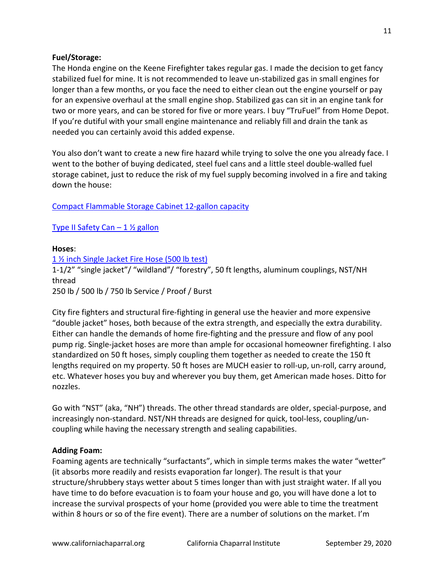### **Fuel/Storage:**

The Honda engine on the Keene Firefighter takes regular gas. I made the decision to get fancy stabilized fuel for mine. It is not recommended to leave un-stabilized gas in small engines for longer than a few months, or you face the need to either clean out the engine yourself or pay for an expensive overhaul at the small engine shop. Stabilized gas can sit in an engine tank for two or more years, and can be stored for five or more years. I buy "TruFuel" from Home Depot. If you're dutiful with your small engine maintenance and reliably fill and drain the tank as needed you can certainly avoid this added expense.

You also don't want to create a new fire hazard while trying to solve the one you already face. I went to the bother of buying dedicated, steel fuel cans and a little steel double-walled fuel storage cabinet, just to reduce the risk of my fuel supply becoming involved in a fire and taking down the house:

### [Compact Flammable Storage Cabinet 12-gallon capacity](https://www.globalindustrial.com/p/storage/flammable-osha-cabinets/flammable/compact-flammable-storage-cabinet-12-gallon-capacity?presentType=3&trackCatKey=1582&trackPrimKey=0&trackType=3&webCatKey=1777)

Type II Safety Can  $-1\frac{1}{2}$  gallon

**Hoses**: [1 ½ inch Single Jacket Fire Hose \(500 lb test\)](https://rawhidefirehose.com/firehose/fire-hose-products/1-12-single-jacket-fire-hose-ap-500-500-lb-test-2/) 1-1/2" "single jacket"/ "wildland"/ "forestry", 50 ft lengths, aluminum couplings, NST/NH thread 250 lb / 500 lb / 750 lb Service / Proof / Burst

City fire fighters and structural fire-fighting in general use the heavier and more expensive "double jacket" hoses, both because of the extra strength, and especially the extra durability. Either can handle the demands of home fire-fighting and the pressure and flow of any pool pump rig. Single-jacket hoses are more than ample for occasional homeowner firefighting. I also standardized on 50 ft hoses, simply coupling them together as needed to create the 150 ft lengths required on my property. 50 ft hoses are MUCH easier to roll-up, un-roll, carry around, etc. Whatever hoses you buy and wherever you buy them, get American made hoses. Ditto for nozzles.

Go with "NST" (aka, "NH") threads. The other thread standards are older, special-purpose, and increasingly non-standard. NST/NH threads are designed for quick, tool-less, coupling/uncoupling while having the necessary strength and sealing capabilities.

### **Adding Foam:**

Foaming agents are technically "surfactants", which in simple terms makes the water "wetter" (it absorbs more readily and resists evaporation far longer). The result is that your structure/shrubbery stays wetter about 5 times longer than with just straight water. If all you have time to do before evacuation is to foam your house and go, you will have done a lot to increase the survival prospects of your home (provided you were able to time the treatment within 8 hours or so of the fire event). There are a number of solutions on the market. I'm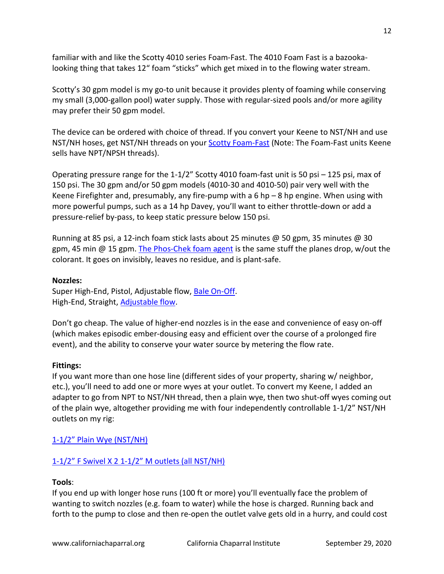familiar with and like the Scotty 4010 series Foam-Fast. The 4010 Foam Fast is a bazookalooking thing that takes 12" foam "sticks" which get mixed in to the flowing water stream.

Scotty's 30 gpm model is my go-to unit because it provides plenty of foaming while conserving my small (3,000-gallon pool) water supply. Those with regular-sized pools and/or more agility may prefer their 50 gpm model.

The device can be ordered with choice of thread. If you convert your Keene to NST/NH and use NST/NH hoses, get NST/NH threads on your **Scotty Foam-Fast** (Note: The Foam-Fast units Keene sells have NPT/NPSH threads).

Operating pressure range for the 1-1/2" Scotty 4010 foam-fast unit is 50 psi – 125 psi, max of 150 psi. The 30 gpm and/or 50 gpm models (4010-30 and 4010-50) pair very well with the Keene Firefighter and, presumably, any fire-pump with a 6 hp  $-8$  hp engine. When using with more powerful pumps, such as a 14 hp Davey, you'll want to either throttle-down or add a pressure-relief by-pass, to keep static pressure below 150 psi.

Running at 85 psi, a 12-inch foam stick lasts about 25 minutes @ 50 gpm, 35 minutes @ 30 gpm, 45 min @ 15 gpm. [The Phos-Chek foam agent](https://www.wildlandwarehouse.com/shop/phos-chek-12-foam-cartridges-pack) is the same stuff the planes drop, w/out the colorant. It goes on invisibly, leaves no residue, and is plant-safe.

### **Nozzles:**

Super High-End, Pistol, Adjustable flow, [Bale On-Off.](https://www.firehosedirect.com/aluminum-1-1-2-inch-heavy-duty-30-to-125-gpm-nozzle-nh) High-End, Straight, [Adjustable flow.](https://www.wildlandwarehouse.com/shop/1-12-nh-adjustable-fog-nozzle)

Don't go cheap. The value of higher-end nozzles is in the ease and convenience of easy on-off (which makes episodic ember-dousing easy and efficient over the course of a prolonged fire event), and the ability to conserve your water source by metering the flow rate.

### **Fittings:**

If you want more than one hose line (different sides of your property, sharing w/ neighbor, etc.), you'll need to add one or more wyes at your outlet. To convert my Keene, I added an adapter to go from NPT to NST/NH thread, then a plain wye, then two shut-off wyes coming out of the plain wye, altogether providing me with four independently controllable 1-1/2" NST/NH outlets on my rig:

### [1-1/2" Plain Wye \(NST/NH\)](https://fdcrescue.com/default-category/319-1-1-2-plain-wye-w15.html)

### [1-1/2" F Swivel X 2 1-1/2" M outlets \(all NST/NH\)](https://fdcrescue.com/default-category/315-1-1-2-f-swivel-x-2-1-1-2-m-outlets-wv15.html)

### **Tools**:

If you end up with longer hose runs (100 ft or more) you'll eventually face the problem of wanting to switch nozzles (e.g. foam to water) while the hose is charged. Running back and forth to the pump to close and then re-open the outlet valve gets old in a hurry, and could cost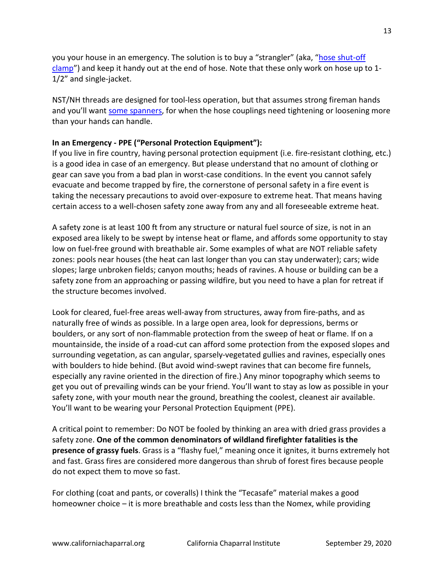you your house in an emergency. The solution is to buy a "strangler" (aka, ["hose shut-off](http://www.nationalfirefighter.com/hose-shut-off-clamp-hi-viz.aspx)  [clamp"](http://www.nationalfirefighter.com/hose-shut-off-clamp-hi-viz.aspx)) and keep it handy out at the end of hose. Note that these only work on hose up to 1- 1/2" and single-jacket.

NST/NH threads are designed for tool-less operation, but that assumes strong fireman hands and you'll wan[t some spanners,](http://www.nationalfirefighter.com/store/p/4532-Scotty-Spanner-/-Gas-Wrench.aspx) for when the hose couplings need tightening or loosening more than your hands can handle.

### **In an Emergency - PPE ("Personal Protection Equipment"):**

If you live in fire country, having personal protection equipment (i.e. fire-resistant clothing, etc.) is a good idea in case of an emergency. But please understand that no amount of clothing or gear can save you from a bad plan in worst-case conditions. In the event you cannot safely evacuate and become trapped by fire, the cornerstone of personal safety in a fire event is taking the necessary precautions to avoid over-exposure to extreme heat. That means having certain access to a well-chosen safety zone away from any and all foreseeable extreme heat.

A safety zone is at least 100 ft from any structure or natural fuel source of size, is not in an exposed area likely to be swept by intense heat or flame, and affords some opportunity to stay low on fuel-free ground with breathable air. Some examples of what are NOT reliable safety zones: pools near houses (the heat can last longer than you can stay underwater); cars; wide slopes; large unbroken fields; canyon mouths; heads of ravines. A house or building can be a safety zone from an approaching or passing wildfire, but you need to have a plan for retreat if the structure becomes involved.

Look for cleared, fuel-free areas well-away from structures, away from fire-paths, and as naturally free of winds as possible. In a large open area, look for depressions, berms or boulders, or any sort of non-flammable protection from the sweep of heat or flame. If on a mountainside, the inside of a road-cut can afford some protection from the exposed slopes and surrounding vegetation, as can angular, sparsely-vegetated gullies and ravines, especially ones with boulders to hide behind. (But avoid wind-swept ravines that can become fire funnels, especially any ravine oriented in the direction of fire.) Any minor topography which seems to get you out of prevailing winds can be your friend. You'll want to stay as low as possible in your safety zone, with your mouth near the ground, breathing the coolest, cleanest air available. You'll want to be wearing your Personal Protection Equipment (PPE).

A critical point to remember: Do NOT be fooled by thinking an area with dried grass provides a safety zone. **One of the common denominators of wildland firefighter fatalities is the presence of grassy fuels**. Grass is a "flashy fuel," meaning once it ignites, it burns extremely hot and fast. Grass fires are considered more dangerous than shrub of forest fires because people do not expect them to move so fast.

For clothing (coat and pants, or coveralls) I think the "Tecasafe" material makes a good homeowner choice – it is more breathable and costs less than the Nomex, while providing